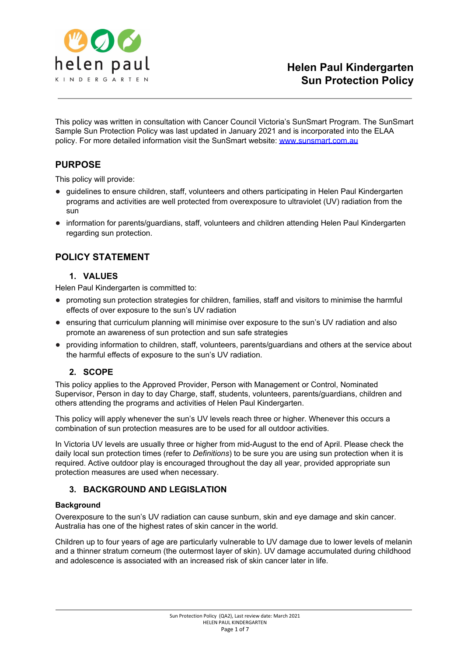

This policy was written in consultation with Cancer Council Victoria's SunSmart Program. The SunSmart Sample Sun Protection Policy was last updated in January 2021 and is incorporated into the ELAA policy. For more detailed information visit the SunSmart website: [www.sunsmart.com.au](http://www.sunsmart.com.au/)

## **PURPOSE**

This policy will provide:

- guidelines to ensure children, staff, volunteers and others participating in Helen Paul Kindergarten programs and activities are well protected from overexposure to ultraviolet (UV) radiation from the sun
- information for parents/guardians, staff, volunteers and children attending Helen Paul Kindergarten regarding sun protection.

## **POLICY STATEMENT**

## **1. VALUES**

Helen Paul Kindergarten is committed to:

- promoting sun protection strategies for children, families, staff and visitors to minimise the harmful effects of over exposure to the sun's UV radiation
- ensuring that curriculum planning will minimise over exposure to the sun's UV radiation and also promote an awareness of sun protection and sun safe strategies
- providing information to children, staff, volunteers, parents/guardians and others at the service about the harmful effects of exposure to the sun's UV radiation.

## **2. SCOPE**

This policy applies to the Approved Provider, Person with Management or Control, Nominated Supervisor, Person in day to day Charge, staff, students, volunteers, parents/guardians, children and others attending the programs and activities of Helen Paul Kindergarten.

This policy will apply whenever the sun's UV levels reach three or higher. Whenever this occurs a combination of sun protection measures are to be used for all outdoor activities.

In Victoria UV levels are usually three or higher from mid-August to the end of April. Please check the daily local sun protection times (refer to *Definitions*) to be sure you are using sun protection when it is required. Active outdoor play is encouraged throughout the day all year, provided appropriate sun protection measures are used when necessary.

## **3. BACKGROUND AND LEGISLATION**

#### **Background**

Overexposure to the sun's UV radiation can cause sunburn, skin and eye damage and skin cancer. Australia has one of the highest rates of skin cancer in the world.

Children up to four years of age are particularly vulnerable to UV damage due to lower levels of melanin and a thinner stratum corneum (the outermost layer of skin). UV damage accumulated during childhood and adolescence is associated with an increased risk of skin cancer later in life.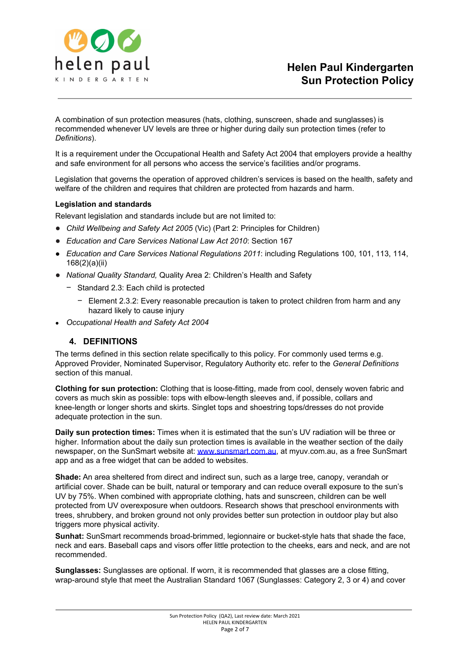

A combination of sun protection measures (hats, clothing, sunscreen, shade and sunglasses) is recommended whenever UV levels are three or higher during daily sun protection times (refer to *Definitions*).

It is a requirement under the Occupational Health and Safety Act 2004 that employers provide a healthy and safe environment for all persons who access the service's facilities and/or programs.

Legislation that governs the operation of approved children's services is based on the health, safety and welfare of the children and requires that children are protected from hazards and harm.

#### **Legislation and standards**

Relevant legislation and standards include but are not limited to:

- *Child Wellbeing and Safety Act 2005* (Vic) (Part 2: Principles for Children)
- *Education and Care Services National Law Act 2010*: Section 167
- *● Education and Care Services National Regulations 2011*: including Regulations 100, 101, 113, 114, 168(2)(a)(ii)
- *National Quality Standard,* Quality Area 2: Children's Health and Safety
	- − Standard 2.3: Each child is protected
		- − Element 2.3.2: Every reasonable precaution is taken to protect children from harm and any hazard likely to cause injury
- *● Occupational Health and Safety Act 2004*

#### **4. DEFINITIONS**

The terms defined in this section relate specifically to this policy. For commonly used terms e.g. Approved Provider, Nominated Supervisor, Regulatory Authority etc. refer to the *General Definitions* section of this manual.

**Clothing for sun protection:** Clothing that is loose-fitting, made from cool, densely woven fabric and covers as much skin as possible: tops with elbow-length sleeves and, if possible, collars and knee-length or longer shorts and skirts. Singlet tops and shoestring tops/dresses do not provide adequate protection in the sun.

**Daily sun protection times:** Times when it is estimated that the sun's UV radiation will be three or higher. Information about the daily sun protection times is available in the weather section of the daily newspaper, on the SunSmart website at: [www.sunsmart.com.au](http://www.sunsmart.com.au/), at myuv.com.au, as a free SunSmart app and as a free widget that can be added to websites.

**Shade:** An area sheltered from direct and indirect sun, such as a large tree, canopy, verandah or artificial cover. Shade can be built, natural or temporary and can reduce overall exposure to the sun's UV by 75%. When combined with appropriate clothing, hats and sunscreen, children can be well protected from UV overexposure when outdoors. Research shows that preschool environments with trees, shrubbery, and broken ground not only provides better sun protection in outdoor play but also triggers more physical activity.

**Sunhat:** SunSmart recommends broad-brimmed, legionnaire or bucket-style hats that shade the face, neck and ears. Baseball caps and visors offer little protection to the cheeks, ears and neck, and are not recommended.

**Sunglasses:** Sunglasses are optional. If worn, it is recommended that glasses are a close fitting, wrap-around style that meet the Australian Standard 1067 (Sunglasses: Category 2, 3 or 4) and cover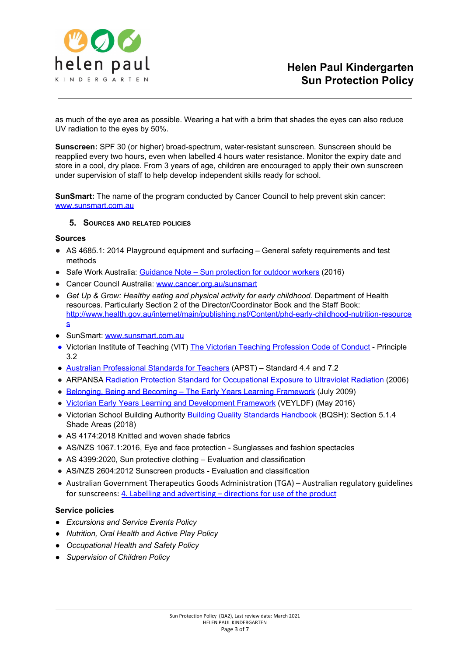

as much of the eye area as possible. Wearing a hat with a brim that shades the eyes can also reduce UV radiation to the eyes by 50%.

**Sunscreen:** SPF 30 (or higher) broad-spectrum, water-resistant sunscreen. Sunscreen should be reapplied every two hours, even when labelled 4 hours water resistance. Monitor the expiry date and store in a cool, dry place. From 3 years of age, children are encouraged to apply their own sunscreen under supervision of staff to help develop independent skills ready for school.

**SunSmart:** The name of the program conducted by Cancer Council to help prevent skin cancer: [www.sunsmart.com.au](http://www.sunsmart.com.au/)

#### **5. SOURCES AND RELATED POLICIES**

#### **Sources**

- AS 4685.1: 2014 Playground equipment and surfacing General safety requirements and test methods
- Safe Work Australia: Guidance Note Sun [protection](https://www.worksafe.vic.gov.au/__data/assets/pdf_file/0012/198687/WorkSafe_WSV17410108.16_FactSheet_final.pdf) for outdoor workers (2016)
- Cancer Council Australia: [www.cancer.org.au/sunsmart](http://www.cancer.org.au/sunsmart)
- *Get Up & Grow: Healthy eating and physical activity for early childhood.* Department of Health resources. Particularly Section 2 of the Director/Coordinator Book and the Staff Book: [http://www.health.gov.au/internet/main/publishing.nsf/Content/phd-early-childhood-nutrition-resource](http://www.health.gov.au/internet/main/publishing.nsf/Content/phd-early-childhood-nutrition-resources) [s](http://www.health.gov.au/internet/main/publishing.nsf/Content/phd-early-childhood-nutrition-resources)
- SunSmart: [www.sunsmart.com.au](http://www.sunsmart.com.au/)
- Victorian Institute of Teaching (VIT) The Victorian Teaching [Profession](http://www.vit.vic.edu.au/__data/assets/pdf_file/0018/35604/Code-of-Conduct-2016.pdf) Code of Conduct Principle 3.2
- Australian [Professional](http://www.vit.vic.edu.au/__data/assets/pdf_file/0005/38678/Opportunities-for-demonstrating-the-APST-through-Inquiry-approach.pdf) Standards for Teachers (APST) Standard 4.4 and 7.2
- ARPANSA Radiation Protection Standard for [Occupational](http://www.arpansa.gov.au/pubs/rps/rps12.pdf) Exposure to Ultraviolet Radiation (2006)
- Belonging, Being and Becoming The Early Years Learning [Framework](https://www.education.gov.au/early-years-learning-framework) (July 2009)
- Victorian Early Years Learning and [Development](http://www.education.vic.gov.au/childhood/providers/edcare/pages/veyladf.aspx?Redirect=1) Framework (VEYLDF) (May 2016)
- Victorian School Building Authorit[y](https://www.education.vic.gov.au/Documents/school/principals/infrastructure/BuildingQualStandHdbk%202018.pdf) Building Quality Standards [Handbook](https://www.education.vic.gov.au/Documents/school/principals/infrastructure/BuildingQualStandHdbk%202018.pdf) (BQSH): Section 5.1.4 Shade Areas (2018)
- AS 4174:2018 Knitted and woven shade fabrics
- AS/NZS 1067.1:2016, Eye and face protection Sunglasses and fashion spectacles
- AS 4399:2020, Sun protective clothing Evaluation and classification
- AS/NZS 2604:2012 Sunscreen products Evaluation and classification
- Australian Government Therapeutics Goods Administration (TGA) Australian regulatory guidelines for sunscreens[:](https://www.tga.gov.au/book/4-labelling-and-advertising) 4. Labelling and [advertising](https://www.tga.gov.au/book/4-labelling-and-advertising) – directions for use of the product

#### **Service policies**

- *● Excursions and Service Events Policy*
- *● Nutrition, Oral Health and Active Play Policy*
- *● Occupational Health and Safety Policy*
- *● Supervision of Children Policy*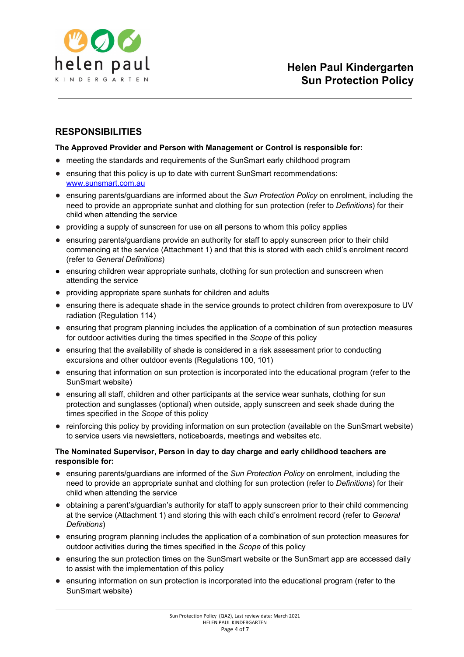

# **RESPONSIBILITIES**

#### **The Approved Provider and Person with Management or Control is responsible for:**

- meeting the standards and requirements of the SunSmart early childhood program
- ensuring that this policy is up to date with current SunSmart recommendations: [www.sunsmart.com.au](http://www.sunsmart.com.au/)
- ensuring parents/guardians are informed about the *Sun Protection Policy* on enrolment, including the need to provide an appropriate sunhat and clothing for sun protection (refer to *Definitions*) for their child when attending the service
- providing a supply of sunscreen for use on all persons to whom this policy applies
- ensuring parents/guardians provide an authority for staff to apply sunscreen prior to their child commencing at the service (Attachment 1) and that this is stored with each child's enrolment record (refer to *General Definitions*)
- ensuring children wear appropriate sunhats, clothing for sun protection and sunscreen when attending the service
- providing appropriate spare sunhats for children and adults
- ensuring there is adequate shade in the service grounds to protect children from overexposure to UV radiation (Regulation 114)
- ensuring that program planning includes the application of a combination of sun protection measures for outdoor activities during the times specified in the *Scope* of this policy
- ensuring that the availability of shade is considered in a risk assessment prior to conducting excursions and other outdoor events (Regulations 100, 101)
- ensuring that information on sun protection is incorporated into the educational program (refer to the SunSmart website)
- ensuring all staff, children and other participants at the service wear sunhats, clothing for sun protection and sunglasses (optional) when outside, apply sunscreen and seek shade during the times specified in the *Scope* of this policy
- reinforcing this policy by providing information on sun protection (available on the SunSmart website) to service users via newsletters, noticeboards, meetings and websites etc.

#### **The Nominated Supervisor, Person in day to day charge and early childhood teachers are responsible for:**

- ensuring parents/guardians are informed of the *Sun Protection Policy* on enrolment, including the need to provide an appropriate sunhat and clothing for sun protection (refer to *Definitions*) for their child when attending the service
- obtaining a parent's/guardian's authority for staff to apply sunscreen prior to their child commencing at the service (Attachment 1) and storing this with each child's enrolment record (refer to *General Definitions*)
- ensuring program planning includes the application of a combination of sun protection measures for outdoor activities during the times specified in the *Scope* of this policy
- ensuring the sun protection times on the SunSmart website or the SunSmart app are accessed daily to assist with the implementation of this policy
- ensuring information on sun protection is incorporated into the educational program (refer to the SunSmart website)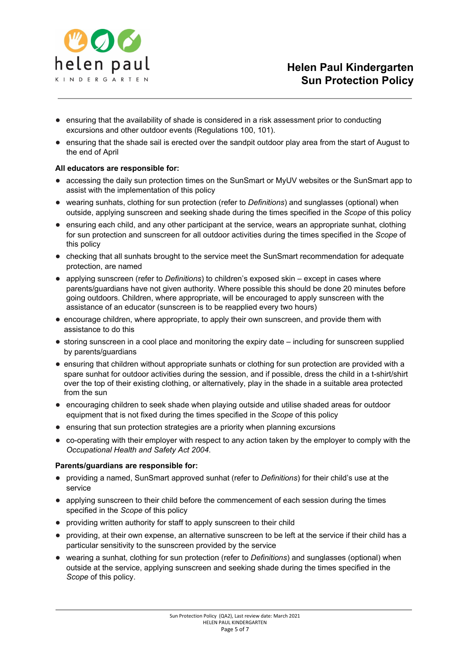

- ensuring that the availability of shade is considered in a risk assessment prior to conducting excursions and other outdoor events (Regulations 100, 101).
- ensuring that the shade sail is erected over the sandpit outdoor play area from the start of August to the end of April

#### **All educators are responsible for:**

- accessing the daily sun protection times on the SunSmart or MyUV websites or the SunSmart app to assist with the implementation of this policy
- wearing sunhats, clothing for sun protection (refer to *Definitions*) and sunglasses (optional) when outside, applying sunscreen and seeking shade during the times specified in the *Scope* of this policy
- ensuring each child, and any other participant at the service, wears an appropriate sunhat, clothing for sun protection and sunscreen for all outdoor activities during the times specified in the *Scope* of this policy
- checking that all sunhats brought to the service meet the SunSmart recommendation for adequate protection, are named
- applying sunscreen (refer to *Definitions*) to children's exposed skin except in cases where parents/guardians have not given authority. Where possible this should be done 20 minutes before going outdoors. Children, where appropriate, will be encouraged to apply sunscreen with the assistance of an educator (sunscreen is to be reapplied every two hours)
- encourage children, where appropriate, to apply their own sunscreen, and provide them with assistance to do this
- storing sunscreen in a cool place and monitoring the expiry date including for sunscreen supplied by parents/guardians
- ensuring that children without appropriate sunhats or clothing for sun protection are provided with a spare sunhat for outdoor activities during the session, and if possible, dress the child in a t-shirt/shirt over the top of their existing clothing, or alternatively, play in the shade in a suitable area protected from the sun
- encouraging children to seek shade when playing outside and utilise shaded areas for outdoor equipment that is not fixed during the times specified in the *Scope* of this policy
- ensuring that sun protection strategies are a priority when planning excursions
- co-operating with their employer with respect to any action taken by the employer to comply with the *Occupational Health and Safety Act 2004*.

#### **Parents/guardians are responsible for:**

- providing a named, SunSmart approved sunhat (refer to *Definitions*) for their child's use at the service
- applying sunscreen to their child before the commencement of each session during the times specified in the *Scope* of this policy
- providing written authority for staff to apply sunscreen to their child
- providing, at their own expense, an alternative sunscreen to be left at the service if their child has a particular sensitivity to the sunscreen provided by the service
- wearing a sunhat, clothing for sun protection (refer to *Definitions*) and sunglasses (optional) when outside at the service, applying sunscreen and seeking shade during the times specified in the *Scope* of this policy.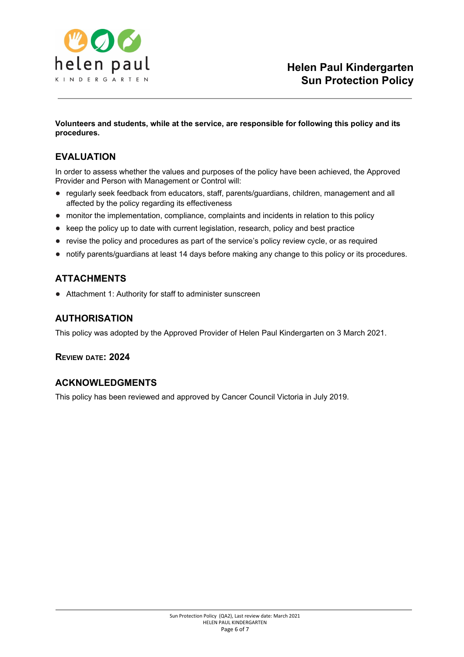

#### **Volunteers and students, while at the service, are responsible for following this policy and its procedures.**

# **EVALUATION**

In order to assess whether the values and purposes of the policy have been achieved, the Approved Provider and Person with Management or Control will:

- regularly seek feedback from educators, staff, parents/guardians, children, management and all affected by the policy regarding its effectiveness
- monitor the implementation, compliance, complaints and incidents in relation to this policy
- keep the policy up to date with current legislation, research, policy and best practice
- revise the policy and procedures as part of the service's policy review cycle, or as required
- notify parents/guardians at least 14 days before making any change to this policy or its procedures.

## **ATTACHMENTS**

● Attachment 1: Authority for staff to administer sunscreen

## **AUTHORISATION**

This policy was adopted by the Approved Provider of Helen Paul Kindergarten on 3 March 2021.

## **REVIEW DATE: 2024**

## **ACKNOWLEDGMENTS**

This policy has been reviewed and approved by Cancer Council Victoria in July 2019.